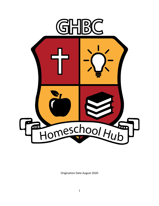

Origination Date August 2020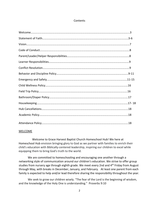### Contents

#### WELCOME

Welcome to Grace Harvest Baptist Church Homeschool Hub! We here at Homeschool Hub envision bringing glory to God as we partner with families to enrich their child's education with Biblically-centered leadership, inspiring our children to excel while equipping them to bring God's truth to the world.

We are committed to homeschooling and encouraging one another through a networking style of communication around our children's education. We strive to offer group studies from nursery age through eighth grade. We meet every 2nd and 4<sup>th</sup> Friday from August through May, with breaks in December, January, and February. At least one parent from each family is expected to help and/or lead therefore sharing the responsibility throughout the year.

We seek to grow our children wisely. "The fear of the Lord is the beginning of wisdom, and the knowledge of the Holy One is understanding." Proverbs 9:10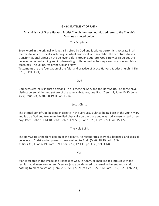### GHBC STATEMENT OF FAITH

## As a ministry of Grace Harvest Baptist Church, Homeschool Hub adheres to the Church's Doctrine as noted below:

### The Scriptures

Every word in the original writings is inspired by God and is without error. It is accurate in all matters to which it speaks including: spiritual, historical, and scientific. The Scriptures have a transformational effect on the believer's life. Through Scripture, God's Holy Spirit guides the believer in understanding and implementing truth, as well as turning away from sin and false teachings. The Scriptures of the Old and New

Testaments are the foundation of the faith and practice of Grace Harvest Baptist Church (II Tim. 3:16; II Pet. 1:21).

#### God

God exists eternally in three persons: The Father, the Son, and the Holy Spirit. The three have distinct personalities and yet are of the same substance, one God. (Gen. 1:1; John 10:30; John 4:24; Deut. 6:4; Matt. 28:19; II Cor. 13:14)

### Jesus Christ

The eternal Son of God became incarnate in the Lord Jesus Christ, being born of the virgin Mary, and is true God and true man. He died physically on the cross and was bodily resurrected three days later. (John 1:1,14,18; 5:18; Heb. 1:1-9; 5:8; I John 5:20; I Tim. 2:5; I Cor. 15:1-5)

### The Holy Spirit

The Holy Spirit is the third person of the Trinity. He regenerates, indwells, baptizes, and seals all believers in Christ and empowers those yielded to God. (Matt. 28:19; John 3:3- 7; Titus 3:5; I Cor. 6:19; Rom. 8:9; I Cor. 2:12; 12:13; Eph. 4:30; Col. 3:14)

### Man

Man is created in the image and likeness of God. In Adam, all mankind fell into sin with the result that all men are sinners. Men are justly condemned to eternal judgment and can do nothing to merit salvation. (Rom. 2:2,3,5; Eph. 2:8,9; Gen. 1:27, 9:6; Rom. 5:12; 3:23; Eph. 2:1)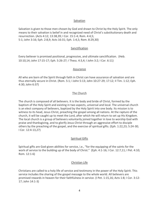#### **Salvation**

Salvation is given to those men chosen by God and drawn to Christ by the Holy Spirit. The only means to their salvation is belief in and recognized need of Christ's substitutionary death and resurrection. (Acts 4:12; 13:38,39; I Cor. 15:1-4; Rom. 4:4,5; 5:1; John 3:16; Eph. 2:8,9; Acts 16:31; Eph. 1:4,5; Rom. 8:29,30)

#### Sanctification

Every believer is promised positional, progressive, and ultimate sanctification. (Heb. 10:10,14; John 17:15-17; Eph. 5:26-27; I Thess. 4:3,4; I John 3:2; I Cor. 6:11)

#### Assurance

All who are born of the Spirit through faith in Christ can have assurance of salvation and are thus eternally secure in Christ. (Rom. 5:1; I John 5:13; John 10:27-29; 17:12; II Tim. 1:12; Eph. 4:30; John 6:37)

### The Church

The church is composed of all believers. It is the body and bride of Christ, formed by the baptism of the Holy Spirit and existing in two aspects, universal and local. The universal church is an elect company of believers, baptized by the Holy Spirit into one body. Its mission is to witness to its head, Jesus Christ, preaching the gospel among all nations. At the rapture of the church, it will be caught up to meet the Lord, after which He will return to set up His Kingdom. The local church is a group of believers voluntarily joined together in love to worship God with praise and thanksgiving, and to glorify Jesus Christ through an aggressive effort to disciple others by the preaching of the gospel, and the exercise of spiritual gifts. (Eph. 1:22,23; 5:24-30; I Cor. 12:4-13,27)

### Spiritual Gifts

Spiritual gifts are God-given abilities for service, i.e., "for the equipping of the saints for the work of service to the building up of the body of Christ." (Eph. 4:1-16; I Cor. 12:7,11; I Pet. 4:10; Rom. 12:1-6)

### Christian Life

Christians are called to a holy life of service and testimony in the power of the Holy Spirit. This service includes the sharing of the gospel message to the whole world. All believers are promised rewards in heaven for their faithfulness in service. (I Pet. 1:15,16; Acts 1:8; I Cor. 3:12- 17; John 14:1-3)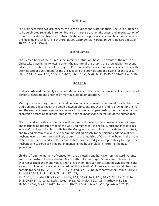### **Ordinances**

The Bible sets forth two ordinances, the Lord's Supper and water baptism. The Lord's Supper is to be celebrated regularly in remembrance of Christ's death on the cross, and in expectation of His return. Water baptism is an outward testimony of a person's belief in Christ. Immersion is the ideal means set forth in Scripture. (Matt. 28:19,20; Mark 16:15,16; Acts 8:12,36-38; 9:18; 10:47; I Cor. 11:23-26)

#### Second Coming

The blessed hope of the church is the imminent return of Christ. The events of the return of Christ take place in the following order: the rapture of the church, the tribulation, the second advent, the establishment of the reign of Christ on earth for one thousand years, and finally the eternal state of punishment for the unsaved and the eternal state of blessing for the saved. (Titus 2:13; I Thess. 1:10; 4:13-18; 5:4-10; John 14:1-3; Matt. 24:21,29,30; 25:31-46; Rev. 3:10)

### The Family

God has ordained the family as the foundational institution of human society. It is composed of persons related to one another by marriage, blood, or adoption.

Marriage is the uniting of one man and one woman in covenant commitment for a lifetime. It is God's unique gift to reveal the union between Christ and His church and to provide for the man and the woman in marriage the framework for intimate companionship, the channel of sexual expression according to biblical standards, and the means for procreation of the human race.

The husband and wife are of equal worth before God, since both are created in God's image. The marriage relationship models the way God relates to His people. A husband is to love his wife as Christ loved the church. He has the God-given responsibility to provide for, to protect, and to lead his family. A wife is to submit herself graciously to the servant leadership of her husband even as the church willingly submits to the headship of Christ. She, being in the image of God as is her husband and thus equal to him, has the God-given responsibility to respect her husband and to serve as his helper in managing the household and nurturing the next generation.

Children, from the moment of conception, are a blessing and heritage from the Lord. Parents are to demonstrate to their children God's pattern for marriage. Parents are to teach their children spiritual and moral values and to lead them, through consistent lifestyle example and loving discipline, to make choices based on biblical truth. Children are to honor and obey their parents.(Genesis 1:26-28; 2:15-25; 3:1-20; Exodus 20:12; Deuteronomy 6:4-9; Joshua 24:15; 1 Samuel 1:26-28; Psalms 51:5; 78:1-8; 127; 128;

139:13-16; Proverbs 1:8; 5:15-20; 6:20-22; 12:4; 13:24; 14:1; 17:6; 18:22; 22:6,15; 23:1314; 24:3; 29:15,17; 31:10-31; Ecclesiastes 4:9-12; 9:9; Malachi 2:14-16; Matthew 5:31-32; 18:2-5; 19:3-9; Mark 10:6-12; Romans 1:18-32; 1 Corinthians 7:1-16; Ephesians 5:21-33;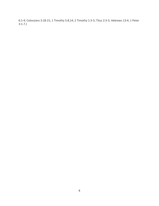6:1-4; Colossians 3:18-21; 1 Timothy 5:8,14; 2 Timothy 1:3-5; Titus 2:3-5; Hebrews 13:4; 1 Peter  $3:1-7.$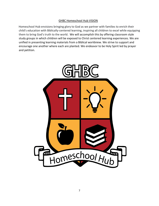## GHBC Homeschool Hub VISION

Homeschool Hub envisions bringing glory to God as we partner with families to enrich their child's education with Biblically-centered learning, inspiring all children to excel while equipping them to bring God's truth to the world. We will accomplish this by offering classroom style study groups in which children will be exposed to Christ centered learning experiences. We are unified in presenting learning materials from a Biblical worldview. We strive to support and encourage one another where each are planted. We endeavor to be Holy Spirit led by prayer and petition.

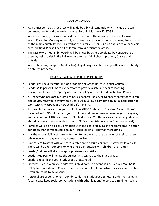# CODE OF CONDUCT

- As a Christ centered group, we will abide by biblical standards which include the ten commandments and the golden rule set forth in Matthew 22:37-39.
- We are a ministry of Grace Harvest Baptist Church. The areas in use are as follows: Youth Room for Morning Assembly and Family Café for Afternoon Dismissal, Lower Level of the main church, kitchen, as well as the Family Center Building and playground/picnic area/big field. Please keep all children from undesignated areas.
- The facility we meet in bi-weekly will be in use by others so please be considerate of them by being quiet in the hallways and respectful of church property (inside and outside).
- We prohibit any weapons (real or toy), illegal drugs, alcohol or cigarettes, and profanity on church property.

## PARENT/LEADER/HELPER RESPONSIBILITY

- Leaders will be a Member in Good Standing at Grace Harvest Baptist Church.
- Leaders/Helpers will make every effort to provide a safe and secure learning environment. See: Emergency and Safety Policy and our Child Protection Policy.
- All leaders/helpers are required to pass a background check to ensure safety of children and adults, renewable every three years. All must also complete an initial application to work with any aspect of GHBC children's ministry.
- All parents, leaders and helpers will follow GHBC "rule of two" and/or "rule of three" included in GHBC children and youth policies and procedures when engaged in any way with children on GHBC campus (GHBC Children and Youth policies supersede guidelines stated herein and are available from GHBC Pastor of Administration's upon request).
- Families will be on a cleanup rotation with the goal of leaving the room/rooms in better condition than it was found. See our Housekeeping Policy for more details.
- It is the responsibility of parents to monitor and control the behavior of their children while involved in any event by Homeschool Hub.
- Parents are to assist with and recess rotation to ensure children's safety while outside. There will be adult supervision while inside or outside with children at all times.
- Leader/Helpers will dress in appropriate modest attire.
- Leaders/Helpers will follow the curriculum assigned to the study group.
- Leaders never leave your study group unattended.
- Sickness: Please keep you and/or your child home if anyone is sick. See our Wellness Policy for more details. Contact the Homeschool Hub Administrator as soon as possible if you are going to be absent.
- Personal use of cell phone is prohibited during study group times. In order to maintain focus please keep social conversations with other leaders/helpers to a minimum while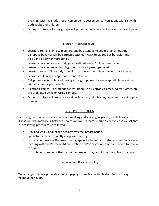engaging with the study group. Remember to season our conversations with salt with both adults and children.

• During dismissal, all study groups will gather in the Family Café to wait for parent pickup.

# STUDENT RESPONSIBILITY

- Learners are to listen, use manners, and be attentive to adults at all times. Any disruptive behavior will be corrected with our ROCK rules. See our behavior and discipline policy for more details.
- Learners may not leave a study group without leader/helper permission.
- Learners may not leave church grounds without parent permission.
- Learners are to follow study group instruction and complete classwork as expected.
- Learners will dress in appropriate modest attire.
- Cell phone use is prohibited during study group time. Please keep cell phones either with a parent or your vehicle.
- Electronic games, IE: Nintendo Switch, Hand Held Electronic Games, Watch Games, etc. are prohibited while on GHBC campus.
- During dismissal children are to wait in Sanctuary with leader/helper for parent to pick them up.

# CONFLICT RESOLUTION

We recognize that whenever people are working and learning in groups, conflicts will arise. These conflicts may occur between parents and/or learners. Should a conflict arise we ask that the following procedure be followed:

- Pray and wait 24 hours and see how you feel before acting.
- Speak to the person directly in a private setting.
- If you cannot resolve the issue directly, speak to the Administrator who will facilitate a meeting with the Pastor of Administration and/or Pastor of Family and Youth to resolve the issue.
	- $\circ$  Serious problems that cannot be resolved may result in removal from the group.

# Behavior and Discipline Policy

We strongly encourage positive and engaging interaction with children to discourage negative behavior.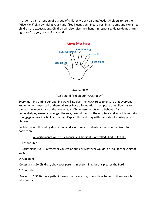In order to gain attention of a group of children we ask parents/leaders/helpers to use the "Give Me 5" sign by raising your hand. (See illustration). Please post in all rooms and explain to children the expectations. Children will also raise their hands in response. Please do not turn lights on/off, yell, or clap for attention.



# **Give Me Five**

R.O.C.K. Rules

"Let's stand firm on our ROCK today"

Every morning during our opening we will go over the ROCK rules to ensure that everyone knows what is expected of them. All rules have a foundation in scripture that allows us to discuss the importance of the rule in light of how Jesus wants us to behave. If a leader/helper/learner challenges the rule, remind them of the scripture and why it is important to engage others in a biblical manner. Explain this and pray with them about making good choices.

Each letter is followed by description and scripture so students can rely on the Word for correction.

## All participants will be: Responsible, Obedient, Controlled, Kind (R.O.C.K.)

R: Responsible

1 Corinthians 10:31 So whether you eat or drink or whatever you do, do it all for the glory of God.

### O: Obedient

Colossians 3:20 Children, obey your parents in everything, for this pleases the Lord.

C: Controlled

Proverbs 16:32 Better a patient person than a warrior, one with self-control than one who takes a city.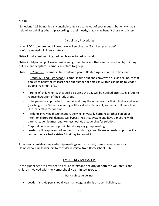K: Kind

Ephesians 4:29 Do not let any unwholesome talk come out of your mouths, but only what is helpful for building others up according to their needs, that it may benefit those who listen.

## Disciplinary Procedures

When ROCK rules are not followed, we will employ the "3 strikes, you're out" reinforcement/disciplinary strategy.

Strike 1: individual warning, redirect learner to task at hand.

Strike 2: Helper can pull learner aside and go over behavior that needs correction by pointing out rule and scripture. Learner can return to group.

Strike 3:  $K-2$  and  $3-5$ : Learner in time out with parent floater. Age = minutes in time out

Grades 6-8 and High school: Learner in time out and copy/write rule and scripture that applies to behavior (at least once but number of times its written can be up to leader, up to a maximum of 50)

- Parents of child who reaches strike 3 during the day will be notified after study group to reduce disruption of the study group.
- If the parent is approached three times during the same year for their child misbehavior (reaching strike 3) then a meeting will be called with parent, learner and Homeschool Hub leadership for solution.
- Incidents involving discrimination, bullying, physically harming another person or intentional property damage will bypass the strike system and have a meeting with parent, leader, learner, and Homeschool Hub leadership for solution.
- Corporal punishment is prohibited during any group meeting.
- Leaders will keep record of learner strikes during class. Please let leadership know if a learner has reached a strike 3 that day to record it.

After two parent/learner/leadership meetings with no effect, it may be necessary for Homeschool Hub leadership to consider dismissal from Homeschool Hub.

# EMERGENCY AND SAFETY

These guidelines are provided to ensure safety and security of both the volunteers and children involved with the Homeschool Hub ministry group.

## Basic safety guidelines

• Leaders and Helpers should wear nametags as this is an open building, e.g.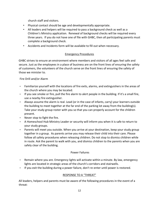church staff and visitors.

- Physical contact should be age and developmentally appropriate.
- All leaders and helpers will be required to pass a background check as well as a Children's Ministry application. Renewal of background checks will be required every three years. If you do not have one of file with GHBC, then all participating parents must complete a background check.
- Accidents and Incidents form will be available to fill out when necessary.

## Emergency Procedures

GHBC strives to ensure an environment where members and visitors of all ages feel safe and secure. Just as the employees in a place of business are on the front lines of ensuring the safety of customers, the volunteers of the church serve on the front lines of ensuring the safety of those we minister to.

## Fire Drill and/or Alarm

- Familiarize yourself with the locations of fire exits, alarms, and extinguishers in the areas of the church where you may be located.
- If you see smoke or fire, pull the fire alarm to alert people in the building. If it's a small fire, use a nearby fire extinguisher.
- Always assume the alarm is real. Lead (or in the case of infants, carry) your learners outside the building to meet together at the far end of the parking lot away from the building(s). Take your study group roster with you so that you can properly account for the children present.
- Never stop to fight the fire.
- A Homeschool Hub Ministry Leader or security will inform you when it is safe to return to your study groups.
- Parents will meet you outside. When you arrive at your destination, keep your study group together in a group. As parents arrive you may release their child into their care. Please follow all safety procedures when releasing children. Do not stop to dismiss children while in route. Ask the parent to walk with you, and dismiss children to the parents when you are safely clear of the building.

## Power Failures

- Remain where you are. Emergency lights will activate within a minute. By law, emergency lights are located in strategic areas of the church's corridors and stairwells.
- If you exit the building during a power failure, don't re-enter until power is restored.

## RESPONSE TO A "THREAT"

All leaders, helpers and parents must be aware of the following procedures in the event of a threat: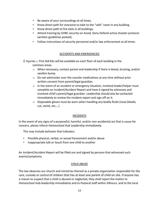- Be aware of your surroundings at all times.
- Know direct path for everyone to take to the "safe" room in any building.
- Know direct path to fire exits in all buildings.
- Attend training by GHBC security on Avoid, Deny Defend active shooter protocol. (written guidelines posted).
- Follow instructions of security personnel and/or law enforcement at all times.

## ACCIDENTS AND EMERGENCIES

 $\Box$  Injuries  $\circ$  First Aid Kits will be available on each floor of each building in the common areas.

- $\circ$  When necessary, contact parent and leadership if there is blood, bruising, and/or swollen bump.
- $\circ$  Do not administer over the counter medications at any time without prior written consent from parent/legal guardian.
- o In the event of an accident or emergency situation, involved leader/helper must complete an Incident/Accident Report and have it signed by witnesses and involved child's parent/legal guardian. Leadership should also be contacted immediately to review the incident report and sign off on it.
- $\circ$  Disposable gloves must be worn when handling any bodily fluids (nose bleeds, cut, vomit, etc.…)

## INCIDENTS

In the event of any signs of a purposeful, harmful, and/or non-accidental act that is cause for concern, please inform Homeschool Hub Leadership immediately.

This may include behavior that indicates:

- Possible physical, verbal, or sexual harassment and/or abuse
- Inappropriate talk or touch from one child to another

An Incident/Accident Report will be filled out and signed by persons that witnessed such events/symptoms.

## CHILD ABUSE

The law observes our church and ministries thereof as a private organization responsible for the care, custody or control of children that has at least one parent of child on site. If anyone has a reason to suspect that a child is abused or neglected, they shall report the matter to Homeschool Hub leadership immediately and to Pastoral staff within 24hours, and to the local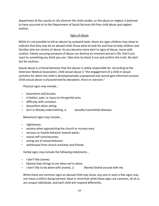department of the county or city wherein the child resides, or the abuse or neglect is believed to have occurred or to the Department of Social Services toll-free child abuse and neglect hotline.

## Signs of Abuse

While it's not possible to tell an abuser by outward looks, there are signs children may show to indicate that they may be an abused child. Know what to look for and how to help children and families who are victims of abuse. As you become more alert to signs of abuse, move with caution. Falsely accusing someone of abuse can destroy an innocent person's life. Don't just react to something you think you see. Take time to check it out and confirm the truth. Be alert but be cautious.

Sexual abuse is criminal behavior that the abuser is solely responsible for. According to the American Medical Association, child sexual abuse is "the engagement of a child in sexual activities for which the child is developmentally unprepared and cannot give informed consent. Child sexual abuse is characterized by deception, force or coercion."

Physical signs may include...

- lacerations and bruises.
- irritation, pain, or injury to the genital area.
- difficulty with urination.
- discomfort when sitting.
- torn or bloody underclothing.  $\Box$  sexually transmitted diseases.

Behavioral signs may include...

- nightmares.
- anxiety when approaching the church or nursery area.
- nervous or hostile behavior toward adults.
- sexual self-consciousness.
- acting out of sexual behavior.
- withdrawal from church activities and friends.

Verbal signs may include the following statements...

- I don't like (name).
- (Name) does things to me when we're alone.
- $\cdot$  I don't like to be alone with (name).  $\Box$  (Name) fooled around with me.

While these are common signs an abused child may show, any one or even a few signs may not mean a child is being harmed. Keep in mind that while these signs are common, all of us are unique individuals, and each child will respond differently.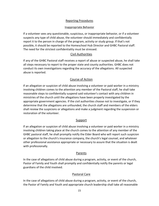## Reporting Procedures

### Inappropriate Behavior

If a volunteer sees any questionable, suspicious, or inappropriate behavior, or if a volunteer suspects any type of child abuse, the volunteer should immediately and confidentially report it to the person in charge of the program, activity or study group. If that's not possible, it should be reported to the Homeschool Hub Director and GHBC Pastoral staff. The need for the strictest confidentiality must be stressed.

# Civil Authorities

If any of the GHBC Pastoral staff receives a report of abuse or suspected abuse, he shall take all steps necessary to report to the proper state and county authorities. GHBC does not conduct its own investigations regarding the accuracy of the allegations. All suspected abuse is reported.

# Course of Action

If an allegation or suspicion of child abuse involving a volunteer or paid worker in a ministry involving children comes to the attention any member of the Pastoral staff, he shall take reasonable steps to confidentially suspend said volunteer's contact with any children in ministries of the church until the allegations have been properly investigated by the appropriate government agencies. If the civil authorities choose not to investigate, or if they determine that the allegations are unfounded, the church staff and members of the elders shall review the suspicions or allegations and make a judgment regarding the suspension or restoration of the volunteer.

# Support

If an allegation or suspicion of child abuse involving a volunteer or paid worker in a ministry involving children taking place at the church comes to the attention of any member of the GHBC pastoral staff, he shall promptly notify the Elder Board who will report such suspicion or allegation to the church's insurance company, the church's legal counsel, and whatever other professional assistance appropriate or necessary to assure that the situation is dealt with professionally.

## Parents

In the case of allegations of child abuse during a program, activity, or event of the church, Pastor of Family and Youth shall promptly and confidentially notify the parents or legal guardians of the child involved.

# Pastoral Care

In the case of allegations of child abuse during a program, activity, or event of the church, the Pastor of Family and Youth and appropriate church leadership shall take all reasonable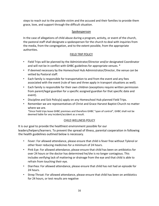steps to reach out to the possible victim and the accused and their families to provide them grace, love, and support through the difficult situation.

# Spokesperson

In the case of allegations of child abuse during a program, activity, or event of the church, the pastoral staff shall designate a spokesperson for the church to deal with inquiries from the media, from the congregation, and to the extent possible, from the appropriate authorities.

# FIELD TRIP POLICY

- Field Trips will be planned by the Administrator/Director and/or designated Coordinator and will not be in conflict with GHBC guidelines for appropriate venues. \*
- If deemed necessary by the Homeschool Hub Administrator/Director, the venue can be vetted by Pastoral staff.
- Each family is responsible for transportation to and from the event and any fees associated with the event (rule of two and three apply in transport situations as well).
- Each family is responsible for their own children (exceptions require written permission from parent/legal guardian for a specific assigned guardian for that specific date and event).
- Discipline and Sick Policy(s) apply on any Homeschool Hub planned Field Trips.
- Remember we are representatives of Christ and Grace Harvest Baptist Church no matter where we are.

\*Since Field trips leave GHBC premises and therefore GHBC "span of control", GHBC shall not be deemed liable for any incident/accident as a result.

## CHILD WELLNESS POLICY

It is our goal to provide the healthiest environment possible for our leaders/helpers/learners. To prevent the spread of illness, parental cooperation in following the health guidelines outlined below is necessary.

- Fever: For allowed attendance, please ensure that child is fever free without Tylenol or other fever reducing medicines for a minimum of 24 hours.
- Pink Eye: For allowed attendance, please ensure that child has been on antibiotics for over 24 hours or the doctor has determined he/she is no longer contagious. This includes verifying lack of mattering or drainage from the eye and that child is able to refrain from touching their eye.
- Diarrhea: For allowed attendance, please ensure that child has not had an episode for 24 hours.
- Strep Throat: For allowed attendance, please ensure that child has been on antibiotics for 24 hours, or test results are negative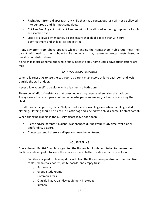- Rash: Apart from a diaper rash, any child that has a contagious rash will not be allowed into our group until it is not contagious.
- Chicken Pox: Any child with chicken pox will not be allowed into our group until all spots are scabbed over.
- Lice: For allowed attendance, please ensure that child is more than 24 hours posttreatment and child is lice and nit free.

If any symptom from above appears while attending the Homeschool Hub group meet then parent will need to bring whole family home and may return to group meets based on qualifications listed above.

If one child is sick at home, the whole family needs to stay home until above qualifications are met.

## BATHROOM/DIAPER POLICY

When a learner asks to use the bathroom, a parent must escort child to bathroom and wait outside the stall or door.

Never allow yourself to be alone with a learner in a bathroom.

Please be mindful of assistance that preschoolers may require when using the bathroom. Always leave the door open so other leaders/helpers can see and/or hear you assisting the child.

In bathroom emergencies, leader/helper must use disposable gloves when handling soiled clothing. Clothing should be placed in plastic bag and labeled with child's name. Contact parent.

When changing diapers in the nursery please leave door open.

- Please advise parents if a diaper was changed during group study time (wet diaper and/or dirty diaper).
- Contact parent if there is a diaper rash needing ointment.

# HOUSEKEEPING

Grace Harvest Baptist Church has granted the Homeschool Hub permission to the use their facilities and our goal is to leave the areas we use in better condition than it was found.

- Families assigned to clean up duty will clean the floors-sweep and/or vacuum, sanitize tables, clean chalk boards/white boards, and empty trash.
	- o Bathrooms
	- o Group Study rooms
	- o Common Areas
	- o Outside Play Area (Play equipment in storage)
	- o Kitchen